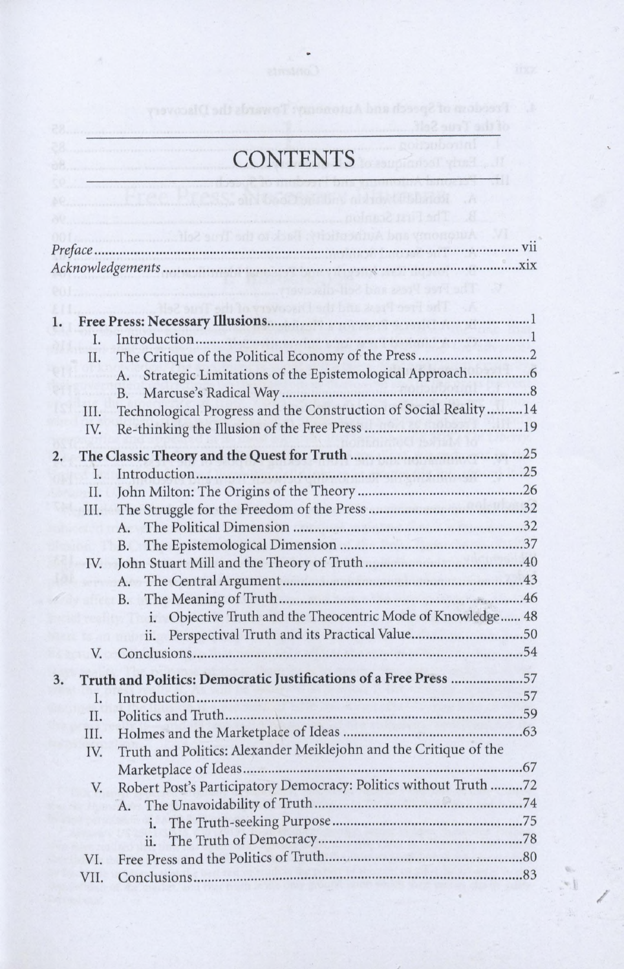## CONTENTS

|    |      | W The Pres Picture in the case of the contract of the contract of the contract of the contract of the contract of the contract of the contract of the contract of the contract of the contract of the contract of the contract |  |  |  |
|----|------|--------------------------------------------------------------------------------------------------------------------------------------------------------------------------------------------------------------------------------|--|--|--|
|    |      | A. I he Free President die Liscovery of the Thur                                                                                                                                                                               |  |  |  |
| ı. |      |                                                                                                                                                                                                                                |  |  |  |
|    | I.   |                                                                                                                                                                                                                                |  |  |  |
|    | Π.   |                                                                                                                                                                                                                                |  |  |  |
|    |      | Strategic Limitations of the Epistemological Approach<br>А.                                                                                                                                                                    |  |  |  |
|    |      | <b>B.</b>                                                                                                                                                                                                                      |  |  |  |
|    | III. | Technological Progress and the Construction of Social Reality14                                                                                                                                                                |  |  |  |
|    | IV.  | <b>REAL PROPERTY OF</b>                                                                                                                                                                                                        |  |  |  |
| 2. |      |                                                                                                                                                                                                                                |  |  |  |
|    | Ι.   |                                                                                                                                                                                                                                |  |  |  |
|    | Π.   |                                                                                                                                                                                                                                |  |  |  |
|    | III. |                                                                                                                                                                                                                                |  |  |  |
|    |      | A.                                                                                                                                                                                                                             |  |  |  |
|    |      | <b>B.</b>                                                                                                                                                                                                                      |  |  |  |
|    | IV.  |                                                                                                                                                                                                                                |  |  |  |
|    |      | A.                                                                                                                                                                                                                             |  |  |  |
|    |      | <b>B.</b>                                                                                                                                                                                                                      |  |  |  |
|    |      | Objective Truth and the Theocentric Mode of Knowledge 48<br>i.                                                                                                                                                                 |  |  |  |
|    |      | Perspectival Truth and its Practical Value50<br>ii.                                                                                                                                                                            |  |  |  |
|    | V.   |                                                                                                                                                                                                                                |  |  |  |
|    |      |                                                                                                                                                                                                                                |  |  |  |
| 3. |      | Truth and Politics: Democratic Justifications of a Free Press 57                                                                                                                                                               |  |  |  |
|    | I.   |                                                                                                                                                                                                                                |  |  |  |
|    | II.  |                                                                                                                                                                                                                                |  |  |  |
|    | III. | Truth and Politics: Alexander Meiklejohn and the Critique of the                                                                                                                                                               |  |  |  |
|    | IV.  |                                                                                                                                                                                                                                |  |  |  |
|    |      | Robert Post's Participatory Democracy: Politics without Truth 72                                                                                                                                                               |  |  |  |
|    |      |                                                                                                                                                                                                                                |  |  |  |
|    |      | A.                                                                                                                                                                                                                             |  |  |  |
|    |      | i.                                                                                                                                                                                                                             |  |  |  |
|    |      | ii.                                                                                                                                                                                                                            |  |  |  |
|    | VI.  |                                                                                                                                                                                                                                |  |  |  |
|    | VII. |                                                                                                                                                                                                                                |  |  |  |